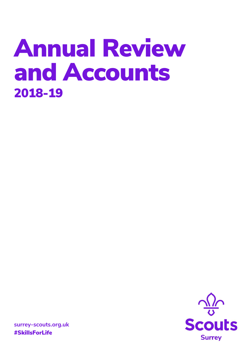# **Annual Review and Accounts 2018-19**



**surrey-scouts.org.uk #SkillsForLife**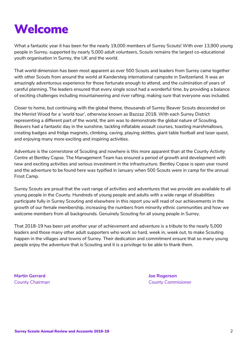# **Welcome**

What a fantastic year it has been for the nearly 19,000 members of Surrey Scouts! With over 13,900 young people in Surrey, supported by nearly 5,000 adult volunteers, Scouts remains the largest co-educational youth organisation in Surrey, the UK and the world.

That world dimension has been most apparent as over 500 Scouts and leaders from Surrey came together with other Scouts from around the world at Kandersteg international campsite in Switzerland. It was an amazingly adventurous experience for those fortunate enough to attend, and the culmination of years of careful planning. The leaders ensured that every single scout had a wonderful time, by providing a balance of exciting challenges including mountaineering and river rafting; making sure that everyone was included.

Closer to home, but continuing with the global theme, thousands of Surrey Beaver Scouts descended on the Merrist Wood for a 'world tour', otherwise known as Bazzaz 2018. With each Surrey District representing a different part of the world, the aim was to demonstrate the global nature of Scouting. Beavers had a fantastic day in the sunshine, tackling inflatable assault courses, toasting marshmallows, creating badges and fridge magnets, climbing, caving, playing skittles, giant table football and laser quest, and enjoying many more exciting and inspiring activities.

Adventure is the cornerstone of Scouting and nowhere is this more apparent than at the County Activity Centre at Bentley Copse. The Management Team has ensured a period of growth and development with new and exciting activities and serious investment in the infrastructure. Bentley Copse is open year round and the adventure to be found here was typified in January when 500 Scouts were in camp for the annual Frost Camp.

Surrey Scouts are proud that the vast range of activities and adventures that we provide are available to all young people in the County. Hundreds of young people and adults with a wide range of disabilities participate fully in Surrey Scouting and elsewhere in this report you will read of our achievements in the growth of our female membership, increasing the numbers from minority ethnic communities and how we welcome members from all backgrounds. Genuinely Scouting for all young people in Surrey.

That 2018-19 has been yet another year of achievement and adventure is a tribute to the nearly 5,000 leaders and those many other adult supporters who work so hard, week in, week out, to make Scouting happen in the villages and towns of Surrey. Their dedication and commitment ensure that so many young people enjoy the adventure that is Scouting and it is a privilege to be able to thank them.

**Martin Gerrard Joe Rogerson**

County Chairman County Commisioner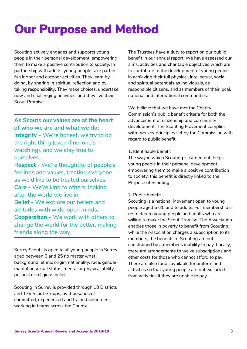# **Our Purpose and Method**

Scouting actively engages and supports young people in their personal development, empowering them to make a positive contribution to society. In partnership with adults, young people take part in fun indoor and outdoor activities. They learn by doing, by sharing in spiritual reflection and by taking responsibility. They make choices, undertake new and challenging activities, and they live their Scout Promise.

### **As Scouts our values are at the heart of who we are and what we do:**

**Integrity -** We're honest, we try to do the right thing (even if no-one's watching), and we stay true to ourselves.

**Respect -** We're thoughtful of people's feelings and values, treating everyone as we'd like to be treated ourselves. **Care -** We're kind to others, looking after the world we live in. **Belief -** We explore our beliefs and attitudes with wide-open minds. **Cooperation -** We work with others to change the world for the better, making friends along the way.

Surrey Scouts is open to all young people in Surrey aged between 6 and 25 no matter what background, ethnic origin, nationality, race, gender, marital or sexual status, mental or physical ability, political or religious belief.

Scouting in Surrey is provided through 18 Districts and 176 Scout Groups, by thousands of committed, experienced and trained volunteers, working in teams across the County.

The Trustees have a duty to report on our public benefit in our annual report. We have assessed our aims, activities and charitable objectives which are to contribute to the development of young people in achieving their full physical, intellectual, social and spiritual potentials as individuals, as responsible citizens, and as members of their local, national and international communities.

We believe that we have met the Charity Commission's public benefit criteria for both the advancement of citizenship and community development. The Scouting Movement complies with two key principles set by the Commission with regard to public benefit:

### 1. Identifiable benefit

The way in which Scouting is carried out, helps young people in their personal development, empowering them to make a positive contribution to society; this benefit is directly linked to the Purpose of Scouting.

### 2. Public benefit

Scouting is a national Movement open to young people aged 6-25 and to adults. Full membership is restricted to young people and adults who are willing to make the Scout Promise. The Association enables those in poverty to benefit from Scouting; while the Association charges a subscription to its members, the benefits of Scouting are not constrained by a member's inability to pay. Locally, there are arrangements to waive subscriptions and other costs for those who cannot afford to pay. There are also funds available for uniform and activities so that young people are not excluded from activities if they are unable to pay.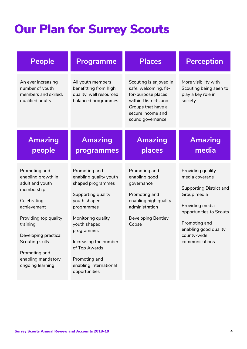# **Our Plan for Surrey Scouts**

| <b>People</b>                                                                                                                                                                                                                                 | <b>Programme</b>                                                                                                                                                                                                                                                           | <b>Places</b>                                                                                                                                                 | <b>Perception</b>                                                                                                                                                                                      |
|-----------------------------------------------------------------------------------------------------------------------------------------------------------------------------------------------------------------------------------------------|----------------------------------------------------------------------------------------------------------------------------------------------------------------------------------------------------------------------------------------------------------------------------|---------------------------------------------------------------------------------------------------------------------------------------------------------------|--------------------------------------------------------------------------------------------------------------------------------------------------------------------------------------------------------|
| An ever increasing<br>number of youth<br>members and skilled,<br>qualified adults.                                                                                                                                                            | All youth members<br>benefitting from high<br>quality, well resourced<br>balanced programmes.                                                                                                                                                                              | Scouting is enjoyed in<br>safe, welcoming, fit-<br>for-purpose places<br>within Districts and<br>Groups that have a<br>secure income and<br>sound governance. | More visibility with<br>Scouting being seen to<br>play a key role in<br>society.                                                                                                                       |
| <b>Amazing</b><br>people                                                                                                                                                                                                                      | <b>Amazing</b><br>programmes                                                                                                                                                                                                                                               | <b>Amazing</b><br>places                                                                                                                                      | <b>Amazing</b><br>media                                                                                                                                                                                |
| Promoting and<br>enabling growth in<br>adult and youth<br>membership<br>Celebrating<br>achievement<br>Providing top quality<br>training<br>Developing practical<br>Scouting skills<br>Promoting and<br>enabling mandatory<br>ongoing learning | Promoting and<br>enabling quality youth<br>shaped programmes<br>Supporting quality<br>youth shaped<br>programmes<br>Monitoring quality<br>youth shaped<br>programmes<br>Increasing the number<br>of Top Awards<br>Promoting and<br>enabling international<br>opportunities | Promoting and<br>enabling good<br>governance<br>Promoting and<br>enabling high quality<br>administration<br><b>Developing Bentley</b><br>Copse                | Providing quality<br>media coverage<br>Supporting District and<br>Group media<br>Providing media<br>opportunities to Scouts<br>Promoting and<br>enabling good quality<br>county-wide<br>communications |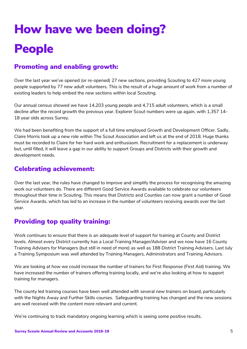# **How have we been doing? People**

### **Promoting and enabling growth:**

Over the last year we've opened (or re-opened) 27 new sections, providing Scouting to 427 more young people supported by 77 new adult volunteers. This is the result of a huge amount of work from a number of existing leaders to help embed the new sections within local Scouting.

Our annual census showed we have 14,203 young people and 4,715 adult volunteers, which is a small decline after the record growth the previous year. Explorer Scout numbers were up again, with 1,357 14- 18 year olds across Surrey.

We had been benefiting from the support of a full time employed Growth and Development Officer. Sadly, Claire Morris took up a new role within The Scout Association and left us at the end of 2018. Huge thanks must be recorded to Claire for her hard work and enthusiasm. Recruitment for a replacement is underway but, until filled, it will leave a gap in our ability to support Groups and Districts with their growth and development needs.

### **Celebrating achievement:**

Over the last year, the rules have changed to improve and simplify the process for recognising the amazing work our volunteers do. There are different Good Service Awards available to celebrate our volunteers throughout their time in Scouting. This means that Districts and Counties can now grant a number of Good Service Awards, which has led to an increase in the number of volunteers receiving awards over the last year.

### **Providing top quality training:**

Work continues to ensure that there is an adequate level of support for training at County and District levels. Almost every District currently has a Local Training Manager/Adviser and we now have 16 County Training Advisers for Managers (but still in need of more) as well as 188 District Training Advisers. Last July a Training Symposium was well attended by Training Managers, Administrators and Training Advisors.

We are looking at how we could increase the number of trainers for First Response (First Aid) training. We have increased the number of trainers offering training locally, and we're also looking at how to support training for managers.

The county led training courses have been well attended with several new trainers on board, particularly with the Nights Away and Further Skills courses. Safeguarding training has changed and the new sessions are well received with the content more relevant and current.

We're continuing to track mandatory ongoing learning which is seeing some positive results.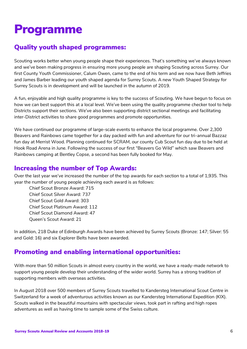## **Programme**

### **Quality youth shaped programmes:**

Scouting works better when young people shape their experiences. That's something we've always known and we've been making progress in ensuring more young people are shaping Scouting across Surrey. Our first County Youth Commissioner, Calum Owen, came to the end of his term and we now have Beth Jeffries and James Barber leading our youth shaped agenda for Surrey Scouts. A new Youth Shaped Strategy for Surrey Scouts is in development and will be launched in the autumn of 2019.

A fun, enjoyable and high quality programme is key to the success of Scouting. We have begun to focus on how we can best support this at a local level. We've been using the quality programme checker tool to help Districts support their sections. We've also been supporting district sectional meetings and facilitating inter-District activities to share good programmes and promote opportunities.

We have continued our programme of large-scale events to enhance the local programme. Over 2,300 Beavers and Rainbows came together for a day packed with fun and adventure for our tri-annual Bazzaz fun day at Merrist Wood. Planning continued for SCRAM, our county Cub Scout fun day due to be held at Hook Road Arena in June. Following the success of our first "Beavers Go Wild" which saw Beavers and Rainbows camping at Bentley Copse, a second has been fully booked for May.

### **Increasing the number of Top Awards:**

Over the last year we've increased the number of the top awards for each section to a total of 1,935. This year the number of young people achieving each award is as follows:

Chief Scout Bronze Award: 715 Chief Scout Silver Award: 737 Chief Scout Gold Award: 303 Chief Scout Platinum Award: 112 Chief Scout Diamond Award: 47 Queen's Scout Award: 21

In addition, 218 Duke of Edinburgh Awards have been achieved by Surrey Scouts (Bronze: 147; Silver: 55 and Gold: 16) and six Explorer Belts have been awarded.

### **Promoting and enabling international opportunities:**

With more than 50 million Scouts in almost every country in the world, we have a ready-made network to support young people develop their understanding of the wider world. Surrey has a strong tradition of supporting members with overseas activities.

In August 2018 over 500 members of Surrey Scouts travelled to Kandersteg International Scout Centre in Switzerland for a week of adventurous activities known as our Kandersteg International Expedition (KIX). Scouts walked in the beautiful mountains with spectacular views, took part in rafting and high ropes adventures as well as having time to sample some of the Swiss culture.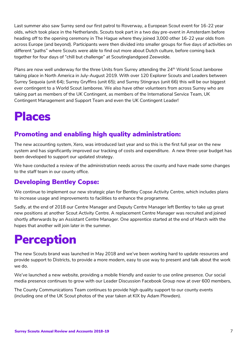Last summer also saw Surrey send our first patrol to Roverway, a European Scout event for 16-22 year olds, which took place in the Netherlands. Scouts took part in a two day pre-event in Amsterdam before heading off to the opening ceremony in The Hague where they joined 3,000 other 16-22 year olds from across Europe (and beyond). Participants were then divided into smaller groups for five days of activities on different "paths" where Scouts were able to find out more about Dutch culture, before coming back together for four days of "chill but challenge" at Scoutinglandgoed Zeewolde.

Plans are now well underway for the three Units from Surrey attending the 24<sup>th</sup> World Scout Jamboree taking place in North America in July-August 2019. With over 120 Explorer Scouts and Leaders between Surrey Sequoia (unit 64); Surrey Gryffins (unit 65); and Surrey Stingrays (unit 66) this will be our biggest ever contingent to a World Scout Jamboree. We also have other volunteers from across Surrey who are taking part as members of the UK Contingent, as members of the International Service Team, UK Contingent Management and Support Team and even the UK Contingent Leader!

## **Places**

### **Promoting and enabling high quality administration:**

The new accounting system, Xero, was introduced last year and so this is the first full year on the new system and has significantly improved our tracking of costs and expenditure. A new three-year budget has been developed to support our updated strategy.

We have conducted a review of the administration needs across the county and have made some changes to the staff team in our county office.

### **Developing Bentley Copse:**

We continue to implement our new strategic plan for Bentley Copse Activity Centre, which includes plans to increase usage and improvements to facilities to enhance the programme.

Sadly, at the end of 2018 our Centre Manager and Deputy Centre Manager left Bentley to take up great new positions at another Scout Activity Centre. A replacement Centre Manager was recruited and joined shortly afterwards by an Assistant Centre Manager. One apprentice started at the end of March with the hopes that another will join later in the summer.

# **Perception**

The new Scouts brand was launched in May 2018 and we've been working hard to update resources and provide support to Districts, to provide a more modern, easy to use way to present and talk about the work we do.

We've launched a new website, providing a mobile friendly and easier to use online presence. Our social media presence continues to grow with our Leader Discussion Facebook Group now at over 600 members,

The County Communications Team continues to provide high quality support to our county events (including one of the UK Scout photos of the year taken at KIX by Adam Plowden).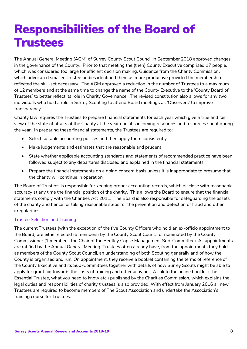## **Responsibilities of the Board of Trustees**

The Annual General Meeting (AGM) of Surrey County Scout Council in September 2018 approved changes in the governance of the County. Prior to that meeting the (then) County Executive comprised 17 people, which was considered too large for efficient decision making. Guidance from the Charity Commission, which advocated smaller Trustee bodies identified them as more productive provided the membership reflected the skill-set necessary. The AGM approved a reduction in the number of Trustees to a maximum of 12 members and at the same time to change the name of the County Executive to the 'County Board of Trustees' to better reflect its role in Charity Governance. The revised constitution also allows for any two individuals who hold a role in Surrey Scouting to attend Board meetings as 'Observers' to improve transparency.

Charity law requires the Trustees to prepare financial statements for each year which give a true and fair view of the state of affairs of the Charity at the year end, it's incoming resources and resources spent during the year. In preparing these financial statements, the Trustees are required to:

- Select suitable accounting policies and then apply them consistently
- Make judgements and estimates that are reasonable and prudent
- State whether applicable accounting standards and statements of recommended practice have been followed subject to any departures disclosed and explained in the financial statements
- Prepare the financial statements on a going concern basis unless it is inappropriate to presume that the charity will continue in operation

The Board of Trustees is responsible for keeping proper accounting records, which disclose with reasonable accuracy at any time the financial position of the charity. This allows the Board to ensure that the financial statements comply with the Charities Act 2011. The Board is also responsible for safeguarding the assets of the charity and hence for taking reasonable steps for the prevention and detection of fraud and other irregularities.

### Trustee Selection and Training

The current Trustees (with the exception of the five County Officers who hold an ex-officio appointment to the Board) are either elected (5 members) by the County Scout Council or nominated by the County Commissioner (1 member - the Chair of the Bentley Copse Management Sub-Committee). All appointments are ratified by the Annual General Meeting. Trustees often already have, from the appointments they hold as members of the County Scout Council, an understanding of both Scouting generally and of how the County is organised and run. On appointment, they receive a booklet containing the terms of reference of the County Executive and its Sub-Committees together with details of how Surrey Scouts might be able to apply for grant aid towards the costs of training and other activities. A link to the online booklet (The Essential Trustee, what you need to know etc.) published by the Charities Commission, which explains the legal duties and responsibilities of charity trustees is also provided. With effect from January 2016 all new Trustees are required to become members of The Scout Association and undertake the Association's training course for Trustees.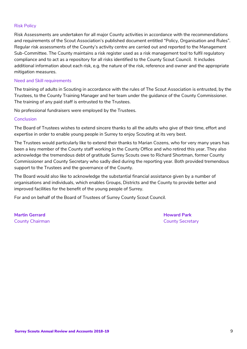### Risk Policy

Risk Assessments are undertaken for all major County activities in accordance with the recommendations and requirements of the Scout Association's published document entitled "Policy, Organisation and Rules". Regular risk assessments of the County's activity centre are carried out and reported to the Management Sub-Committee. The County maintains a risk register used as a risk management tool to fulfil regulatory compliance and to act as a repository for all risks identified to the County Scout Council. It includes additional information about each risk, e.g. the nature of the risk, reference and owner and the appropriate mitigation measures.

### Need and Skill requirements

The training of adults in Scouting in accordance with the rules of The Scout Association is entrusted, by the Trustees, to the County Training Manager and her team under the guidance of the County Commissioner. The training of any paid staff is entrusted to the Trustees.

No professional fundraisers were employed by the Trustees.

#### Conclusion

The Board of Trustees wishes to extend sincere thanks to all the adults who give of their time, effort and expertise in order to enable young people in Surrey to enjoy Scouting at its very best.

The Trustees would particularly like to extend their thanks to Marian Cozens, who for very many years has been a key member of the County staff working in the County Office and who retired this year. They also acknowledge the tremendous debt of gratitude Surrey Scouts owe to Richard Shortman, former County Commissioner and County Secretary who sadly died during the reporting year. Both provided tremendous support to the Trustees and the governance of the County.

The Board would also like to acknowledge the substantial financial assistance given by a number of organisations and individuals, which enables Groups, Districts and the County to provide better and improved facilities for the benefit of the young people of Surrey.

For and on behalf of the Board of Trustees of Surrey County Scout Council.

**Martin Gerrard Howard Park** County Chairman County Secretary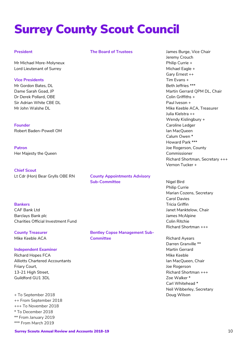# **Surrey County Scout Council**

#### **President**

**The Board of Trustees**

Mr Michael More-Molyneux Lord Lieutenant of Surrey

**Vice Presidents** Mr Gordon Bates, DL Dame Sarah Goad, JP Dr Derek Pollard, OBE Sir Adrian White CBE DL Mr John Walshe DL

**Founder** Robert Baden-Powell OM

**Patron** Her Majesty the Queen

**Chief Scout** Lt Cdr (Hon) Bear Grylls OBE RN

**County Appointments Advisory Sub-Committee**

#### **Bankers**

CAF Bank Ltd Barclays Bank plc Charities Official Investment Fund

**County Treasurer** Mike Keeble ACA

#### **Independent Examiner**

Richard Hopes FCA Alliotts Chartered Accountants Friary Court, 13-21 High Street, Guildford GU1 3DL

+ To September 2018 ++ From September 2018 +++ To November 2018 \* To December 2018 \*\* From January 2019 \*\*\* From March 2019

**Bentley Copse Management Sub-Committee**

James Burge, Vice Chair Jeremy Crouch Philip Currie + Michael Eagle + Gary Ernest ++ Tim Evans + Beth Jeffries \*\*\* Martin Gerrard QPM DL, Chair Colin Griffiths + Paul Iveson + Mike Keeble ACA, Treasurer Julia Kielstra ++ Wendy Kislingbury + Caroline Ledger Ian MacQueen Calum Owen \* Howard Park \*\*\* Joe Rogerson, County Commissioner Richard Shortman, Secretary +++ Vernon Tucker +

Nigel Bird Philip Currie Marian Cozens, Secretary Carol Davies Tricia Griffin Janet Manktelow, Chair James McAlpine Colin Ritchie Richard Shortman +++

Richard Ayears Darren Granville \*\* Martin Gerrard Mike Keeble Ian MacQueen, Chair Joe Rogerson Richard Shortman +++ Zoe Walker \* Carl Whitehead \* Neil Wibberley, Secretary Doug Wilson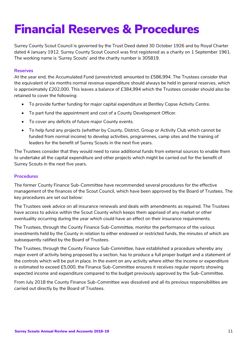# **Financial Reserves & Procedures**

Surrey County Scout Council is governed by the Trust Deed dated 30 October 1926 and by Royal Charter dated 4 January 1912. Surrey County Scout Council was first registered as a charity on 1 September 1961. The working name is 'Surrey Scouts' and the charity number is 305819.

### **Reserves**

At the year end, the Accumulated Fund (unrestricted) amounted to £586,994. The Trustees consider that the equivalent of six months normal revenue expenditure should always be held in general reserves, which is approximately £202,000. This leaves a balance of £384,994 which the Trustees consider should also be retained to cover the following:

- To provide further funding for major capital expenditure at Bentley Copse Activity Centre.
- To part fund the appointment and cost of a County Development Officer.
- To cover any deficits of future major County events.
- To help fund any projects (whether by County, District, Group or Activity Club which cannot be funded from normal income) to develop activities, programmes, camp sites and the training of leaders for the benefit of Surrey Scouts in the next five years.

The Trustees consider that they would need to raise additional funds from external sources to enable them to undertake all the capital expenditure and other projects which might be carried out for the benefit of Surrey Scouts in the next five years.

### **Procedures**

The former County Finance Sub-Committee have recommended several procedures for the effective management of the finances of the Scout Council, which have been approved by the Board of Trustees. The key procedures are set out below:

The Trustees seek advice on all insurance renewals and deals with amendments as required. The Trustees have access to advice within the Scout County which keeps them apprised of any market or other eventuality occurring during the year which could have an effect on their insurance requirements.

The Trustees, through the County Finance Sub-Committee, monitor the performance of the various investments held by the County in relation to either endowed or restricted funds, the minutes of which are subsequently ratified by the Board of Trustees.

The Trustees, through the County Finance Sub-Committee, have established a procedure whereby any major event of activity being proposed by a section, has to produce a full proper budget and a statement of the controls which will be put in place. In the event on any activity where either the income or expenditure is estimated to exceed £5,000, the Finance Sub-Committee ensures it receives regular reports showing expected income and expenditure compared to the budget previously approved by the Sub-Committee.

From July 2018 the County Finance Sub-Committee was dissolved and all its previous responsibilities are carried out directly by the Board of Trustees.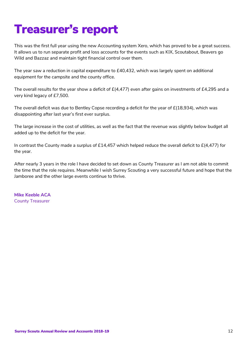# **Treasurer's report**

This was the first full year using the new Accounting system Xero, which has proved to be a great success. It allows us to run separate profit and loss accounts for the events such as KIX, Scoutabout, Beavers go Wild and Bazzaz and maintain tight financial control over them.

The year saw a reduction in capital expenditure to £40,432, which was largely spent on additional equipment for the campsite and the county office.

The overall results for the year show a deficit of £(4,477) even after gains on investments of £4,295 and a very kind legacy of £7,500.

The overall deficit was due to Bentley Copse recording a deficit for the year of £(18,934), which was disappointing after last year's first ever surplus.

The large increase in the cost of utilities, as well as the fact that the revenue was slightly below budget all added up to the deficit for the year.

In contrast the County made a surplus of £14,457 which helped reduce the overall deficit to  $E(4,477)$  for the year.

After nearly 3 years in the role I have decided to set down as County Treasurer as I am not able to commit the time that the role requires. Meanwhile I wish Surrey Scouting a very successful future and hope that the Jamboree and the other large events continue to thrive.

**Mike Keeble ACA** County Treasurer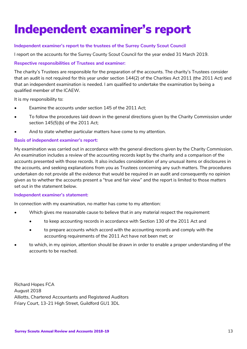# **Independent examiner's report**

### **Independent examiner's report to the trustees of the Surrey County Scout Council**

I report on the accounts for the Surrey County Scout Council for the year ended 31 March 2019.

### **Respective responsibilities of Trustees and examiner:**

The charity's Trustees are responsible for the preparation of the accounts. The charity's Trustees consider that an audit is not required for this year under section 144(2) of the Charities Act 2011 (the 2011 Act) and that an independent examination is needed. I am qualified to undertake the examination by being a qualified member of the ICAEW.

It is my responsibility to:

- Examine the accounts under section 145 of the 2011 Act;
- To follow the procedures laid down in the general directions given by the Charity Commission under section 145(5)(b) of the 2011 Act;
- And to state whether particular matters have come to my attention.

### **Basis of independent examiner's report:**

My examination was carried out in accordance with the general directions given by the Charity Commission. An examination includes a review of the accounting records kept by the charity and a comparison of the accounts presented with those records. It also includes consideration of any unusual items or disclosures in the accounts, and seeking explanations from you as Trustees concerning any such matters. The procedures undertaken do not provide all the evidence that would be required in an audit and consequently no opinion given as to whether the accounts present a "true and fair view" and the report is limited to those matters set out in the statement below.

#### **Independent examiner's statement:**

In connection with my examination, no matter has come to my attention:

- Which gives me reasonable cause to believe that in any material respect the requirement:
	- to keep accounting records in accordance with Section 130 of the 2011 Act and
	- to prepare accounts which accord with the accounting records and comply with the accounting requirements of the 2011 Act have not been met; or
- to which, in my opinion, attention should be drawn in order to enable a proper understanding of the accounts to be reached.

Richard Hopes FCA August 2018 Alliotts, Chartered Accountants and Registered Auditors Friary Court, 13-21 High Street, Guildford GU1 3DL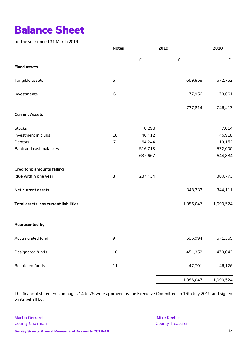## **Balance Sheet**

for the year ended 31 March 2019

|                                       | <b>Notes</b>     | 2019               |                    | 2018      |
|---------------------------------------|------------------|--------------------|--------------------|-----------|
|                                       |                  | $\pmb{\mathsf{f}}$ | $\pmb{\mathsf{f}}$ | $\pounds$ |
| <b>Fixed assets</b>                   |                  |                    |                    |           |
| Tangible assets                       | 5                |                    | 659,858            | 672,752   |
| Investments                           | $\boldsymbol{6}$ |                    | 77,956             | 73,661    |
|                                       |                  |                    | 737,814            | 746,413   |
| <b>Current Assets</b>                 |                  |                    |                    |           |
| <b>Stocks</b>                         |                  | 8,298              |                    | 7,814     |
| Investment in clubs                   | 10               | 46,412             |                    | 45,918    |
| Debtors                               | $\overline{7}$   | 64,244             |                    | 19,152    |
| Bank and cash balances                |                  | 516,713            |                    | 572,000   |
|                                       |                  | 635,667            |                    | 644,884   |
| <b>Creditors: amounts falling</b>     |                  |                    |                    |           |
| due within one year                   | 8                | 287,434            |                    | 300,773   |
| Net current assets                    |                  |                    | 348,233            | 344,111   |
| Total assets less current liabilities |                  |                    | 1,086,047          | 1,090,524 |
| <b>Represented by</b>                 |                  |                    |                    |           |
| Accumulated fund                      | $\boldsymbol{9}$ |                    | 586,994            | 571,355   |
| Designated funds                      | 10               |                    | 451,352            | 473,043   |
| Restricted funds                      | 11               |                    | 47,701             | 46,126    |
|                                       |                  |                    | 1,086,047          | 1,090,524 |

The financial statements on pages 14 to 25 were approved by the Executive Committee on 16th July 2019 and signed on its behalf by:

**Martin Gerrard** County Chairman

**Mike Keeble** County Treasurer

**Surrey Scouts Annual Review and Accounts 2018-19** 14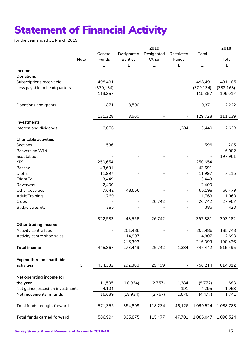## **Statement of Financial Activity**

for the year ended 31 March 2019

|                                    |      |                |                          | 2019                         |                          |                    | 2018       |
|------------------------------------|------|----------------|--------------------------|------------------------------|--------------------------|--------------------|------------|
|                                    |      | General        | Designated               | Designated                   | Restricted               | Total              |            |
|                                    | Note | Funds          | Bentley                  | Other                        | Funds                    |                    | Total      |
|                                    |      | £              | £                        | £                            | £                        | $\pmb{\mathsf{f}}$ | £          |
| Income                             |      |                |                          |                              |                          |                    |            |
| <b>Donations</b>                   |      |                |                          |                              |                          |                    |            |
| Subscriptions receivable           |      | 498,491        |                          |                              |                          | 498,491            | 491,185    |
| Less payable to headquarters       |      | (379, 134)     |                          |                              |                          | (379, 134)         | (382, 168) |
|                                    |      | 119,357        |                          |                              | $\overline{\phantom{a}}$ | 119,357            | 109,017    |
|                                    |      |                |                          |                              |                          |                    |            |
| Donations and grants               |      | 1,871          | 8,500                    |                              | $\blacksquare$           | 10,371             | 2,222      |
|                                    |      |                |                          |                              |                          |                    |            |
|                                    |      |                |                          |                              |                          |                    |            |
|                                    |      | 121,228        | 8,500                    | $\qquad \qquad \blacksquare$ | $\overline{\phantom{0}}$ | 129,728            | 111,239    |
| Investments                        |      |                |                          |                              |                          |                    |            |
| Interest and dividends             |      | 2,056          |                          |                              | 1,384                    | 3,440              | 2,638      |
|                                    |      |                |                          |                              |                          |                    |            |
| <b>Charitable activities</b>       |      |                |                          |                              |                          |                    |            |
| Sections                           |      | 596            |                          |                              |                          | 596                | 205        |
| Beavers go Wild                    |      |                |                          |                              |                          |                    | 6,982      |
| Scoutabout                         |      |                |                          |                              |                          | $\blacksquare$     | 197,961    |
| KIX                                |      | 250,654        |                          |                              | $\qquad \qquad -$        | 250,654            |            |
| Bazzaz                             |      | 43,691         |                          |                              | $\overline{\phantom{a}}$ | 43,691             |            |
| D of E                             |      | 11,997         |                          |                              |                          | 11,997             | 7,215      |
| FrightEx                           |      | 3,449          |                          |                              | $\overline{\phantom{a}}$ | 3,449              |            |
| Roverway                           |      | 2,400          |                          |                              |                          | 2,400              |            |
| Other activities                   |      | 7,642          | 48,556                   |                              | $\overline{\phantom{a}}$ | 56,198             | 60,479     |
| <b>Adult Training</b>              |      | 1,769          |                          |                              | $\overline{\phantom{a}}$ | 1,769              | 1,963      |
| Clubs                              |      |                | $\overline{\phantom{a}}$ | 26,742                       | $\overline{a}$           | 26,742             | 27,957     |
| Badge sales etc.                   |      | 385            |                          |                              |                          | 385                | 420        |
|                                    |      |                |                          |                              |                          |                    |            |
|                                    |      | 322,583        | 48,556                   | 26,742                       |                          | 397,881            | 303,182    |
| Other trading income               |      |                |                          |                              |                          |                    |            |
|                                    |      |                |                          |                              |                          |                    |            |
| Activity centre fees               |      |                | 201,486                  |                              |                          | 201,486            | 185,743    |
| Activity centre shop sales         |      | $\blacksquare$ | 14,907                   |                              | $\blacksquare$           | 14,907             | 12,693     |
|                                    |      |                | 216,393                  |                              | $\frac{1}{2}$            | 216,393            | 198,436    |
| <b>Total income</b>                |      | 445,867        | 273,449                  | 26,742                       | 1,384                    | 747,442            | 615,495    |
|                                    |      |                |                          |                              |                          |                    |            |
| <b>Expenditure on charitable</b>   |      |                |                          |                              |                          |                    |            |
| activities                         | 3    | 434,332        | 292,383                  | 29,499                       |                          | 756,214            | 614,812    |
|                                    |      |                |                          |                              |                          |                    |            |
| Net operating income for           |      |                |                          |                              |                          |                    |            |
| the year                           |      | 11,535         | (18,934)                 | (2,757)                      | 1,384                    | (8,772)            | 683        |
| Net gains/(losses) on investments  |      | 4,104          |                          |                              | 191                      | 4,295              | 1,058      |
| Net movements in funds             |      | 15,639         | (18,934)                 | (2,757)                      | 1,575                    | (4, 477)           | 1,741      |
|                                    |      |                |                          |                              |                          |                    |            |
| Total funds brought forward        |      | 571,355        | 354,809                  | 118,234                      | 46,126                   | 1,090,524          | 1,088,783  |
|                                    |      |                |                          |                              |                          |                    |            |
|                                    |      |                |                          |                              |                          |                    |            |
| <b>Total funds carried forward</b> |      | 586,994        | 335,875                  | 115,477                      | 47,701                   | 1,086,047          | 1,090,524  |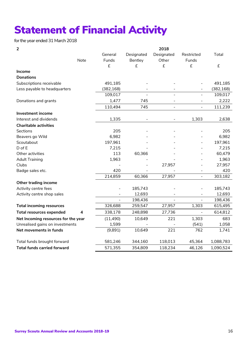## **Statement of Financial Activity**

for the year ended 31 March 2018

|  | ٠ |        |
|--|---|--------|
|  |   |        |
|  |   | I<br>ł |

| 2                                   |      |            |                              | 2018                     |                |            |
|-------------------------------------|------|------------|------------------------------|--------------------------|----------------|------------|
|                                     |      | General    | Designated                   | Designated               | Restricted     | Total      |
|                                     | Note | Funds      | Bentley                      | Other                    | Funds          |            |
|                                     |      | £          | £                            | £                        | £              | £          |
| Income                              |      |            |                              |                          |                |            |
| <b>Donations</b>                    |      |            |                              |                          |                |            |
| Subscriptions receivable            |      | 491,185    |                              |                          |                | 491,185    |
| Less payable to headquarters        |      | (382, 168) |                              |                          |                | (382, 168) |
|                                     |      | 109,017    |                              |                          |                | 109,017    |
| Donations and grants                |      | 1,477      | 745                          |                          |                | 2,222      |
|                                     |      | 110,494    | 745                          | $\overline{\phantom{a}}$ |                | 111,239    |
| <b>Investment income</b>            |      |            |                              |                          |                |            |
| Interest and dividends              |      | 1,335      | $\qquad \qquad \blacksquare$ |                          | 1,303          | 2,638      |
| <b>Charitable activities</b>        |      |            |                              |                          |                |            |
| Sections                            |      | 205        |                              |                          |                | 205        |
| Beavers go Wild                     |      | 6,982      |                              |                          |                | 6,982      |
| Scoutabout                          |      | 197,961    |                              |                          |                | 197,961    |
| D of E                              |      | 7,215      |                              |                          |                | 7,215      |
| Other activities                    |      | 113        | 60,366                       |                          |                | 60,479     |
| <b>Adult Training</b>               |      | 1,963      |                              |                          |                | 1,963      |
| Clubs                               |      |            |                              | 27,957                   |                | 27,957     |
| Badge sales etc.                    |      | 420        |                              |                          |                | 420        |
|                                     |      | 214,859    | 60,366                       | 27,957                   | $\blacksquare$ | 303,182    |
| Other trading income                |      |            |                              |                          |                |            |
| Activity centre fees                |      |            | 185,743                      |                          |                | 185,743    |
| Activity centre shop sales          |      |            | 12,693                       |                          |                | 12,693     |
|                                     |      |            | 198,436                      |                          |                | 198,436    |
| <b>Total incoming resources</b>     |      | 326,688    | 259,547                      | 27,957                   | 1,303          | 615,495    |
| <b>Total resources expended</b>     | 4    | 338,178    | 248,898                      | 27,736                   |                | 614,812    |
| Net Incoming resources for the year |      | (11, 490)  | 10,649                       | 221                      | 1,303          | 683        |
| Unrealised gains on investments     |      | 1,599      |                              |                          | (541)          | 1,058      |
| Net movements in funds              |      | (9,891)    | 10,649                       | 221                      | 762            | 1,741      |
| Total funds brought forward         |      | 581,246    | 344,160                      | 118,013                  | 45,364         | 1,088,783  |
| <b>Total funds carried forward</b>  |      | 571,355    | 354,809                      | 118,234                  | 46,126         | 1,090,524  |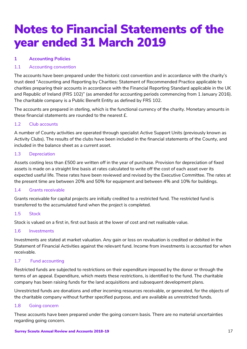## **Notes to Financial Statements of the year ended 31 March 2019**

### **1 Accounting Policies**

### 1.1 Accounting convention

The accounts have been prepared under the historic cost convention and in accordance with the charity's trust deed "Accounting and Reporting by Charities: Statement of Recommended Practice applicable to charities preparing their accounts in accordance with the Financial Reporting Standard applicable in the UK and Republic of Ireland (FRS 102)" (as amended for accounting periods commencing from 1 January 2016). The charitable company is a Public Benefit Entity as defined by FRS 102.

The accounts are prepared in sterling, which is the functional currency of the charity. Monetary amounts in these financial statements are rounded to the nearest £.

### 1.2 Club accounts

A number of County activities are operated through specialist Active Support Units (previously known as Activity Clubs). The results of the clubs have been included in the financial statements of the County, and included in the balance sheet as a current asset.

### 1.3 Depreciation

Assets costing less than £500 are written off in the year of purchase. Provision for depreciation of fixed assets is made on a straight line basis at rates calculated to write off the cost of each asset over its expected useful life. These rates have been reviewed and revised by the Executive Committee. The rates at the present time are between 20% and 50% for equipment and between 4% and 10% for buildings.

### 1.4 Grants receivable

Grants receivable for capital projects are initially credited to a restricted fund. The restricted fund is transferred to the accumulated fund when the project is completed.

### 1.5 Stock

Stock is valued on a first in, first out basis at the lower of cost and net realisable value.

### 1.6 Investments

Investments are stated at market valuation. Any gain or loss on revaluation is credited or debited in the Statement of Financial Activities against the relevant fund. Income from investments is accounted for when receivable.

### 1.7 Fund accounting

Restricted funds are subjected to restrictions on their expenditure imposed by the donor or through the terms of an appeal. Expenditure, which meets these restrictions, is identified to the fund. The charitable company has been raising funds for the land acquisitions and subsequent development plans.

Unrestricted funds are donations and other incoming resources receivable, or generated, for the objects of the charitable company without further specified purpose, and are available as unrestricted funds.

### 1.8 Going concern

These accounts have been prepared under the going concern basis. There are no material uncertainties regarding going concern.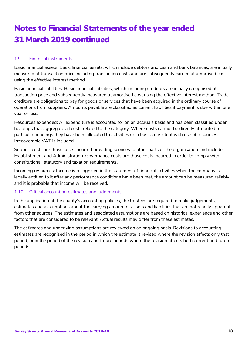### 1.9 Financial instruments

Basic financial assets: Basic financial assets, which include debtors and cash and bank balances, are initially measured at transaction price including transaction costs and are subsequently carried at amortised cost using the effective interest method.

Basic financial liabilities: Basic financial liabilities, which including creditors are initially recognised at transaction price and subsequently measured at amortised cost using the effective interest method. Trade creditors are obligations to pay for goods or services that have been acquired in the ordinary course of operations from suppliers. Amounts payable are classified as current liabilities if payment is due within one year or less.

Resources expended: All expenditure is accounted for on an accruals basis and has been classified under headings that aggregate all costs related to the category. Where costs cannot be directly attributed to particular headings they have been allocated to activities on a basis consistent with use of resources. Irrecoverable VAT is included.

Support costs are those costs incurred providing services to other parts of the organisation and include Establishment and Administration. Governance costs are those costs incurred in order to comply with constitutional, statutory and taxation requirements.

Incoming resources: Income is recognised in the statement of financial activities when the company is legally entitled to it after any performance conditions have been met, the amount can be measured reliably, and it is probable that income will be received.

### 1.10 Critical accounting estimates and judgements

In the application of the charity's accounting policies, the trustees are required to make judgements, estimates and assumptions about the carrying amount of assets and liabilities that are not readily apparent from other sources. The estimates and associated assumptions are based on historical experience and other factors that are considered to be relevant. Actual results may differ from these estimates.

The estimates and underlying assumptions are reviewed on an ongoing basis. Revisions to accounting estimates are recognised in the period in which the estimate is revised where the revision affects only that period, or in the period of the revision and future periods where the revision affects both current and future periods.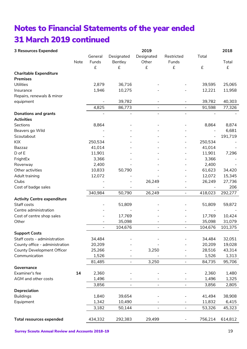| <b>3 Resources Expended</b>                                         |      |                          |                              | 2019                         |                              |          | 2018             |
|---------------------------------------------------------------------|------|--------------------------|------------------------------|------------------------------|------------------------------|----------|------------------|
|                                                                     |      | General                  | Designated                   | Designated                   | Restricted                   | Total    |                  |
|                                                                     | Note | Funds                    | Bentley                      | Other                        | Funds                        |          | Total            |
|                                                                     |      | £                        | £                            | $\pounds$                    | £                            | £        | £                |
| <b>Charitable Expenditure</b>                                       |      |                          |                              |                              |                              |          |                  |
| <b>Premises</b>                                                     |      |                          |                              |                              |                              |          |                  |
| Utilities                                                           |      | 2,879                    | 36,716                       |                              |                              | 39,595   | 25,065           |
| Insurance                                                           |      | 1,946                    | 10,275                       |                              |                              | 12,221   | 11,958           |
| Repairs, renewals & minor                                           |      |                          |                              |                              |                              |          |                  |
| equipment                                                           |      |                          | 39,782                       |                              |                              | 39,782   | 40,303           |
|                                                                     |      | 4,825                    | 86,773                       | $\overline{a}$               | $\blacksquare$               | 91,598   | 77,326           |
| <b>Donations and grants</b>                                         |      |                          | $\overline{\phantom{0}}$     | $\qquad \qquad \blacksquare$ | $\overline{\phantom{a}}$     |          |                  |
| <b>Activities</b>                                                   |      |                          |                              |                              |                              |          |                  |
| Sections                                                            |      | 8,864                    |                              |                              |                              | 8,864    | 8,874            |
| Beavers go Wild                                                     |      |                          |                              |                              |                              |          | 6,681            |
| Scoutabout                                                          |      |                          |                              |                              |                              | $\equiv$ | 191,719          |
| KIX                                                                 |      | 250,534                  |                              |                              | $\overline{\phantom{a}}$     | 250,534  |                  |
| <b>Bazzaz</b>                                                       |      | 41,014                   |                              |                              | $\blacksquare$               | 41,014   |                  |
| D of E                                                              |      | 11,901                   |                              |                              |                              | 11,901   | 7,296            |
| FrightEx                                                            |      | 3,366                    |                              |                              |                              | 3,366    |                  |
| Roverway                                                            |      | 2,400                    |                              |                              |                              | 2,400    |                  |
| Other activities                                                    |      | 10,833                   | 50,790                       |                              |                              | 61,623   | 34,420           |
| Adult training                                                      |      | 12,072                   |                              |                              |                              | 12,072   | 15,345           |
| Clubs                                                               |      |                          |                              | 26,249                       |                              | 26,249   | 27,736           |
| Cost of badge sales                                                 |      |                          |                              |                              | $\overline{\phantom{a}}$     |          | 206              |
|                                                                     |      | 340,984                  | 50,790                       | 26,249                       | $\overline{\phantom{0}}$     | 418,023  | 292,277          |
| <b>Activity Centre expenditure</b>                                  |      |                          |                              |                              |                              |          |                  |
| Staff costs                                                         |      |                          | 51,809                       |                              |                              | 51,809   | 59,872           |
| Centre administration                                               |      |                          |                              |                              |                              |          |                  |
| Cost of centre shop sales                                           |      |                          | 17,769                       |                              |                              | 17,769   | 10,424           |
| Other                                                               |      |                          | 35,098                       |                              |                              | 35,098   | 31,079           |
|                                                                     |      | $\overline{\phantom{a}}$ | 104,676                      | $\overline{\phantom{0}}$     | $\overline{a}$               | 104,676  | 101,375          |
| <b>Support Costs</b>                                                |      |                          |                              |                              |                              |          |                  |
|                                                                     |      | 34,484                   |                              |                              |                              |          |                  |
| Staff costs - administration                                        |      | 20,209                   |                              |                              |                              | 34,484   | 32,051<br>19,028 |
| County office - administration<br><b>County Development Officer</b> |      |                          |                              |                              |                              | 20,209   |                  |
| Communication                                                       |      | 25,266                   |                              | 3,250                        |                              | 28,516   | 43,314<br>1,313  |
|                                                                     |      | 1,526                    |                              |                              |                              | 1,526    |                  |
|                                                                     |      | 81,485                   | $\blacksquare$               | 3,250                        |                              | 84,735   | 95,706           |
| Governance                                                          |      |                          |                              |                              |                              |          |                  |
| Examiner's fee                                                      | 14   | 2,360                    |                              |                              |                              | 2,360    | 1,480            |
| AGM and other costs                                                 |      | 1,496                    |                              |                              |                              | 1,496    | 1,325            |
|                                                                     |      | 3,856                    | $\qquad \qquad \blacksquare$ | $\overline{\phantom{0}}$     | $\qquad \qquad \blacksquare$ | 3,856    | 2,805            |
| Depreciation                                                        |      |                          |                              |                              |                              |          |                  |
| <b>Buildings</b>                                                    |      | 1,840                    | 39,654                       |                              |                              | 41,494   | 38,908           |
| Equipment                                                           |      | 1,342                    | 10,490                       |                              |                              | 11,832   | 6,415            |
|                                                                     |      | 3,182                    | 50,144                       | $\overline{\phantom{a}}$     | $\blacksquare$               | 53,326   | 45,323           |
|                                                                     |      |                          |                              |                              |                              |          |                  |
| <b>Total resources expended</b>                                     |      | 434,332                  | 292,383                      | 29,499                       |                              | 756,214  | 614,812          |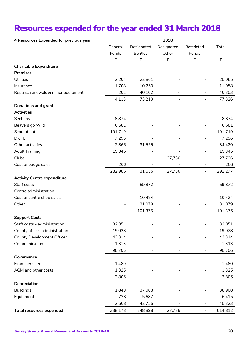### **Resources expended for the year ended 31 March 2018**

| 4 Resources Expended for previous year | 2018               |            |                          |                          |         |  |
|----------------------------------------|--------------------|------------|--------------------------|--------------------------|---------|--|
|                                        | General            | Designated | Designated               | Restricted               | Total   |  |
|                                        | Funds              | Bentley    | Other                    | Funds                    |         |  |
|                                        | $\pmb{\mathsf{f}}$ | £          | $\pmb{\mathsf{f}}$       | £                        | £       |  |
| <b>Charitable Expenditure</b>          |                    |            |                          |                          |         |  |
| <b>Premises</b>                        |                    |            |                          |                          |         |  |
| Utilities                              | 2,204              | 22,861     |                          |                          | 25,065  |  |
| Insurance                              | 1,708              | 10,250     |                          |                          | 11,958  |  |
| Repairs, renewals & minor equipment    | 201                | 40,102     |                          |                          | 40,303  |  |
|                                        | 4,113              | 73,213     |                          | $\overline{\phantom{a}}$ | 77,326  |  |
| <b>Donations and grants</b>            |                    |            |                          |                          |         |  |
| <b>Activities</b>                      |                    |            |                          |                          |         |  |
| Sections                               | 8,874              |            |                          |                          | 8,874   |  |
| Beavers go Wild                        | 6,681              |            |                          |                          | 6,681   |  |
| Scoutabout                             | 191,719            |            |                          |                          | 191,719 |  |
| D of E                                 | 7,296              |            |                          |                          | 7,296   |  |
| Other activities                       | 2,865              | 31,555     |                          |                          | 34,420  |  |
| <b>Adult Training</b>                  | 15,345             |            |                          | $\blacksquare$           | 15,345  |  |
| Clubs                                  |                    |            | 27,736                   |                          | 27,736  |  |
| Cost of badge sales                    | 206                |            |                          | -                        | 206     |  |
|                                        | 232,986            | 31,555     | 27,736                   | $\frac{1}{2}$            | 292,277 |  |
| <b>Activity Centre expenditure</b>     |                    |            |                          |                          |         |  |
| Staff costs                            |                    | 59,872     |                          |                          | 59,872  |  |
| Centre administration                  |                    |            |                          |                          |         |  |
| Cost of centre shop sales              |                    | 10,424     |                          |                          | 10,424  |  |
| Other                                  |                    | 31,079     |                          |                          | 31,079  |  |
|                                        | $\blacksquare$     | 101,375    | $\blacksquare$           | $\overline{\phantom{a}}$ | 101,375 |  |
| <b>Support Costs</b>                   |                    |            |                          |                          |         |  |
| Staff costs - administration           | 32,051             |            |                          |                          | 32,051  |  |
| County office- administration          | 19,028             |            |                          |                          | 19,028  |  |
| <b>County Development Officer</b>      | 43,314             |            |                          |                          | 43,314  |  |
| Communication                          | 1,313              |            |                          |                          | 1,313   |  |
|                                        | 95,706             |            |                          | $\overline{\phantom{a}}$ | 95,706  |  |
| Governance                             |                    |            |                          |                          |         |  |
| Examiner's fee                         | 1,480              |            |                          |                          | 1,480   |  |
| AGM and other costs                    | 1,325              |            |                          |                          | 1,325   |  |
|                                        | 2,805              |            |                          |                          | 2,805   |  |
| Depreciation                           |                    |            |                          |                          |         |  |
| <b>Buildings</b>                       | 1,840              | 37,068     |                          |                          | 38,908  |  |
| Equipment                              | 728                | 5,687      |                          |                          | 6,415   |  |
|                                        | 2,568              | 42,755     | $\overline{\phantom{a}}$ | $\blacksquare$           | 45,323  |  |
| <b>Total resources expended</b>        | 338,178            | 248,898    | 27,736                   |                          | 614,812 |  |
|                                        |                    |            |                          |                          |         |  |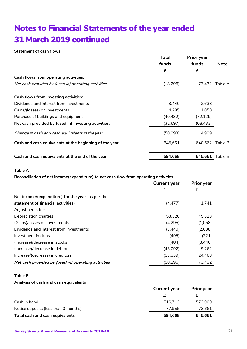**Statement of cash flows**

|                                                        | <b>Total</b> | <b>Prior year</b> |                |
|--------------------------------------------------------|--------------|-------------------|----------------|
|                                                        | funds        | funds             | Note           |
|                                                        | £            | £                 |                |
| Cash flows from operating activities:                  |              |                   |                |
| Net cash provided by (used in) operating activities    | (18, 296)    |                   | 73,432 Table A |
| Cash flows from investing activities:                  |              |                   |                |
| Dividends and interest from investments                | 3,440        | 2,638             |                |
| Gains/(losses) on investments                          | 4,295        | 1,058             |                |
| Purchase of buildings and equipment                    | (40, 432)    | (72, 129)         |                |
| Net cash provided by (used in) investing activities:   | (32, 697)    | (68, 433)         |                |
| Change in cash and cash equivalents in the year        | (50, 993)    | 4,999             |                |
| Cash and cash equivalents at the beginning of the year | 645,661      | 640.662           | Table B        |
| Cash and cash equivalents at the end of the year       | 594,668      | 645,661           | Table B        |

### **Table A**

**Reconciliation of net income(expenditure) to net cash flow from operating activities**

|                                                     | <b>Current year</b> | <b>Prior year</b> |
|-----------------------------------------------------|---------------------|-------------------|
|                                                     | £                   | £                 |
| Net income/(expenditure) for the year (as per the   |                     |                   |
| statement of financial activities)                  | (4, 477)            | 1,741             |
| Adjustments for:                                    |                     |                   |
| Depreciation charges                                | 53.326              | 45.323            |
| (Gains)/losses on investments                       | (4,295)             | (1,058)           |
| Dividends and interest from investments             | (3, 440)            | (2,638)           |
| Investment in clubs                                 | (495)               | (221)             |
| (Increase)/decrease in stocks                       | (484)               | (3, 440)          |
| (Increase)/decrease in debtors                      | (45,092)            | 9,262             |
| Increase/(decrease) in creditors                    | (13, 339)           | 24,463            |
| Net cash provided by (used in) operating activities | (18, 296)           | 73,432            |

#### **Table B**

#### **Analysis of cash and cash equivalents**

|                                      | <b>Current year</b> | <b>Prior year</b> |
|--------------------------------------|---------------------|-------------------|
|                                      |                     |                   |
| Cash in hand                         | 516.713             | 572,000           |
| Notice deposits (less than 3 months) | 77.955              | 73,661            |
| Total cash and cash equivalents      | 594.668             | 645,661           |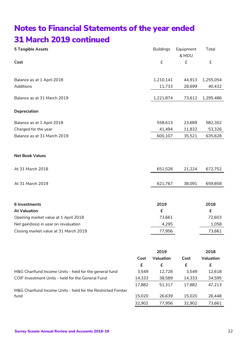| <b>5 Tangible Assets</b>              |      | <b>Buildings</b> | Equipment<br>& MDU | Total     |
|---------------------------------------|------|------------------|--------------------|-----------|
| Cost                                  |      | $\pounds$        | £                  | £         |
| Balance as at 1 April 2018            |      | 1,210,141        | 44,913             | 1,255,054 |
| Additions                             |      | 11,733           | 28,699             | 40,432    |
| Balance as at 31 March 2019           |      | 1,221,874        | 73,612             | 1,295,486 |
| Depreciation                          |      |                  |                    |           |
| Balance as at 1 April 2018            |      | 558,613          | 23,689             | 582,302   |
| Charged for the year                  |      | 41,494           | 11,832             | 53,326    |
| Balance as at 31 March 2019           |      | 600,107          | 35,521             | 635,628   |
| <b>Net Book Values</b>                |      |                  |                    |           |
| At 31 March 2018                      |      | 651,528          | 21,224             | 672,752   |
| At 31 March 2019                      |      | 621,767          | 38,091             | 659,858   |
| 6 Investments                         |      | 2019             |                    | 2018      |
| <b>At Valuation</b>                   |      | £                |                    | £         |
| Opening market value at 1 April 2018  |      | 73,661           |                    | 72,603    |
| Net gain(loss) in year on revaluation |      | 4,295            |                    | 1,058     |
| Closing market value at 31 March 2019 |      | 77,956           |                    | 73,661    |
|                                       |      | 2019             |                    | 2018      |
|                                       | Cost | Valuation        | Cost               | Valuation |

|                                                              | Cost   | Valuation | Cost   | Valuation |
|--------------------------------------------------------------|--------|-----------|--------|-----------|
|                                                              | £      | £         | £      | £         |
| M&G Charifund Income Units - held for the general fund       | 3.549  | 12,728    | 3.549  | 12,618    |
| COIF Investment Units - held for the General Fund            | 14.333 | 38,589    | 14,333 | 34,595    |
|                                                              | 17.882 | 51.317    | 17.882 | 47.213    |
| M&G Charifund Income Units - held for the Restricted Forster |        |           |        |           |
| fund                                                         | 15,020 | 26,639    | 15,020 | 26,448    |
|                                                              | 32,902 | 77,956    | 32,902 | 73,661    |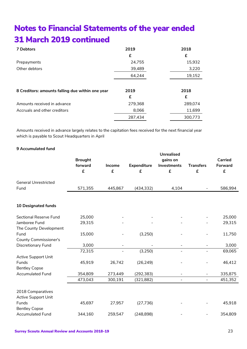| 7 Debtors                                        | 2019    | 2018    |
|--------------------------------------------------|---------|---------|
|                                                  | £       | £       |
| Prepayments                                      | 24,755  | 15,932  |
| Other debtors                                    | 39,489  | 3,220   |
|                                                  | 64,244  | 19,152  |
|                                                  |         |         |
| 8 Creditors: amounts falling due within one year | 2019    | 2018    |
|                                                  | £       | £       |
| Amounts received in advance                      | 279,368 | 289,074 |
| Accruals and other creditors                     | 8,066   | 11,699  |
|                                                  | 287,434 | 300,773 |

Amounts received in advance largely relates to the capitation fees received for the next financial year which is payable to Scout Headquarters in April

### **9 Accumulated fund**

|                              |                |               |                    | <b>Unrealised</b>            |                              |                |
|------------------------------|----------------|---------------|--------------------|------------------------------|------------------------------|----------------|
|                              | <b>Brought</b> |               |                    | gains on                     |                              | <b>Carried</b> |
|                              | forward        | <b>Income</b> | <b>Expenditure</b> | Investments                  | <b>Transfers</b>             | Forward        |
|                              | £              | £             | £                  | £                            | £                            | £              |
| <b>General Unrestricted</b>  |                |               |                    |                              |                              |                |
| Fund                         | 571,355        | 445,867       | (434, 332)         | 4,104                        |                              | 586,994        |
|                              |                |               |                    |                              |                              |                |
| <b>10 Designated funds</b>   |                |               |                    |                              |                              |                |
| Sectional Reserve Fund       | 25,000         |               |                    |                              |                              | 25,000         |
| Jamboree Fund                | 29,315         |               |                    |                              |                              | 29,315         |
| The County Development       |                |               |                    |                              |                              |                |
| Fund                         | 15,000         |               | (3,250)            |                              |                              | 11,750         |
| <b>County Commissioner's</b> |                |               |                    |                              |                              |                |
| Discretionary Fund           | 3,000          |               |                    | $\qquad \qquad \blacksquare$ |                              | 3,000          |
|                              | 72,315         | $\equiv$      | (3,250)            |                              | $\overline{\phantom{0}}$     | 69,065         |
| <b>Active Support Unit</b>   |                |               |                    |                              |                              |                |
| Funds                        | 45,919         | 26,742        | (26, 249)          |                              |                              | 46,412         |
| <b>Bentley Copse</b>         |                |               |                    |                              |                              |                |
| <b>Accumulated Fund</b>      | 354,809        | 273,449       | (292, 383)         | $\overline{\phantom{a}}$     | $\qquad \qquad \blacksquare$ | 335,875        |
|                              | 473,043        | 300,191       | (321, 882)         | $\blacksquare$               | $\overline{\phantom{0}}$     | 451,352        |
|                              |                |               |                    |                              |                              |                |
| 2018 Comparatives            |                |               |                    |                              |                              |                |
| Active Support Unit          |                |               |                    |                              |                              |                |
| Funds                        | 45,697         | 27,957        | (27, 736)          |                              |                              | 45,918         |
| <b>Bentley Copse</b>         |                |               |                    |                              |                              |                |
| <b>Accumulated Fund</b>      | 344,160        | 259,547       | (248, 898)         |                              |                              | 354,809        |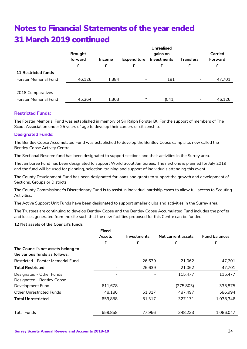|                              | <b>Brought</b> |               |                    | Unrealised<br>gains on |                  | Carried |
|------------------------------|----------------|---------------|--------------------|------------------------|------------------|---------|
|                              | forward        | <b>Income</b> | <b>Expenditure</b> | <b>Investments</b>     | <b>Transfers</b> | Forward |
|                              | £              | £             | £                  | £                      | £                | £       |
| <b>11 Restricted funds</b>   |                |               |                    |                        |                  |         |
| <b>Forster Memorial Fund</b> | 46,126         | 1,384         | -                  | 191                    | ۰.               | 47,701  |
|                              |                |               |                    |                        |                  |         |
| 2018 Comparatives            |                |               |                    |                        |                  |         |
| <b>Forster Memorial Fund</b> | 45,364         | 1,303         |                    | (541)                  | -                | 46,126  |

### **Restricted Funds:**

The Forster Memorial Fund was established in memory of Sir Ralph Forster Bt. For the support of members of The Scout Association under 25 years of age to develop their careers or citizenship.

#### **Designated Funds:**

The Bentley Copse Accumulated Fund was established to develop the Bentley Copse camp site, now called the Bentley Copse Activity Centre.

The Sectional Reserve fund has been designated to support sections and their activities in the Surrey area.

The Jamboree Fund has been designated to support World Scout Jamborees. The next one is planned for July 2019 and the fund will be used for planning, selection, training and support of individuals attending this event.

The County Development Fund has been designated for loans and grants to support the growth and development of Sections, Groups or Districts.

The County Commissioner's Discretionary Fund is to assist in individual hardship cases to allow full access to Scouting Activities.

The Active Support Unit Funds have been designated to support smaller clubs and activities in the Surrey area.

The Trustees are continuing to develop Bentley Copse and the Bentley Copse Accumulated Fund includes the profits and losses generated from the site such that the new facilities proposed for this Centre can be funded.

#### **12 Net assets of the Council's funds**

|                                                                     | Fixed<br>Assets          | <b>Investments</b> | Net current assets | <b>Fund balances</b> |
|---------------------------------------------------------------------|--------------------------|--------------------|--------------------|----------------------|
|                                                                     | £                        | £                  | £                  | £                    |
| The Council's net assets belong to<br>the various funds as follows: |                          |                    |                    |                      |
| Restricted - Forster Memorial Fund                                  |                          | 26,639             | 21,062             | 47,701               |
| <b>Total Restricted</b>                                             | $\overline{\phantom{a}}$ | 26,639             | 21,062             | 47,701               |
| Designated - Other Funds<br>Designated - Bentley Copse              | $\overline{\phantom{a}}$ |                    | 115,477            | 115,477              |
| Development Fund                                                    | 611,678                  |                    | (275, 803)         | 335,875              |
| <b>Other Unrestricted Funds</b>                                     | 48,180                   | 51,317             | 487,497            | 586,994              |
| <b>Total Unrestricted</b>                                           | 659,858                  | 51,317             | 327,171            | 1,038,346            |
| <b>Total Funds</b>                                                  | 659,858                  | 77,956             | 348,233            | 1,086,047            |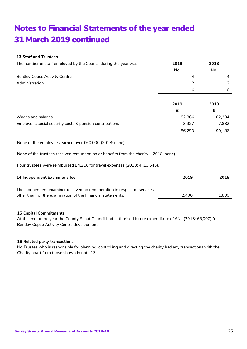### **13 Staff and Trustees**

| The number of staff employed by the Council during the year was: | 2019   | 2018   |
|------------------------------------------------------------------|--------|--------|
|                                                                  | No.    | No.    |
| <b>Bentley Copse Activity Centre</b>                             | 4      | 4      |
| Administration                                                   | 2      |        |
|                                                                  | 6      | 6      |
|                                                                  |        |        |
|                                                                  | 2019   | 2018   |
|                                                                  | £      | £      |
| Wages and salaries                                               | 82,366 | 82,304 |
| Employer's social security costs & pension contributions         | 3,927  | 7,882  |
|                                                                  | 86,293 | 90,186 |

None of the employees earned over £60,000 (2018: none)

None of the trustees received remuneration or benefits from the charity. (2018: none).

Four trustees were reimbursed £4,216 for travel expenses (2018: 4, £3,545).

| <b>14 Independent Examiner's fee</b>                                     | 2019  | 2018  |
|--------------------------------------------------------------------------|-------|-------|
| The independent examiner received no remuneration in respect of services |       |       |
| other than for the examination of the Financial statements.              | 2.400 | 1.800 |

#### **15 Capital Commitments**

At the end of the year the County Scout Council had authorised future expenditure of £Nil (2018: £5,000) for Bentley Copse Activity Centre development.

#### **16 Related party transactions**

No Trustee who is responsible for planning, controlling and directing the charity had any transactions with the Charity apart from those shown in note 13.